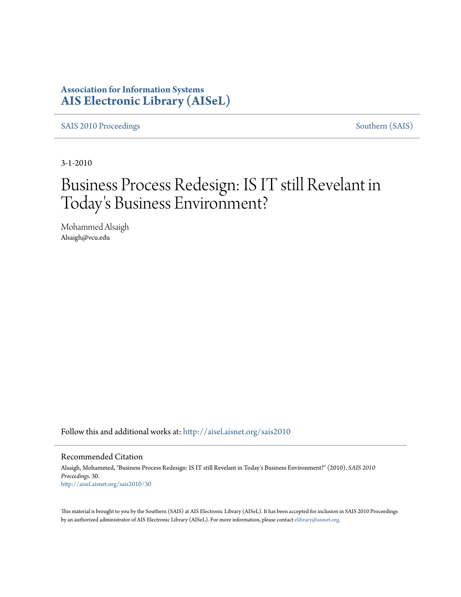### **Association for Information Systems [AIS Electronic Library \(AISeL\)](http://aisel.aisnet.org?utm_source=aisel.aisnet.org%2Fsais2010%2F30&utm_medium=PDF&utm_campaign=PDFCoverPages)**

[SAIS 2010 Proceedings](http://aisel.aisnet.org/sais2010?utm_source=aisel.aisnet.org%2Fsais2010%2F30&utm_medium=PDF&utm_campaign=PDFCoverPages) [Southern \(SAIS\)](http://aisel.aisnet.org/sais?utm_source=aisel.aisnet.org%2Fsais2010%2F30&utm_medium=PDF&utm_campaign=PDFCoverPages)

3-1-2010

# Business Process Redesign: IS IT still Revelant in Today 's Business Environment?

Mohammed Alsaigh Alsaigh@vcu.edu

Follow this and additional works at: [http://aisel.aisnet.org/sais2010](http://aisel.aisnet.org/sais2010?utm_source=aisel.aisnet.org%2Fsais2010%2F30&utm_medium=PDF&utm_campaign=PDFCoverPages)

#### Recommended Citation

Alsaigh, Mohammed, "Business Process Redesign: IS IT still Revelant in Today's Business Environment?" (2010). *SAIS 2010 Proceedings*. 30. [http://aisel.aisnet.org/sais2010/30](http://aisel.aisnet.org/sais2010/30?utm_source=aisel.aisnet.org%2Fsais2010%2F30&utm_medium=PDF&utm_campaign=PDFCoverPages)

This material is brought to you by the Southern (SAIS) at AIS Electronic Library (AISeL). It has been accepted for inclusion in SAIS 2010 Proceedings by an authorized administrator of AIS Electronic Library (AISeL). For more information, please contact [elibrary@aisnet.org](mailto:elibrary@aisnet.org%3E).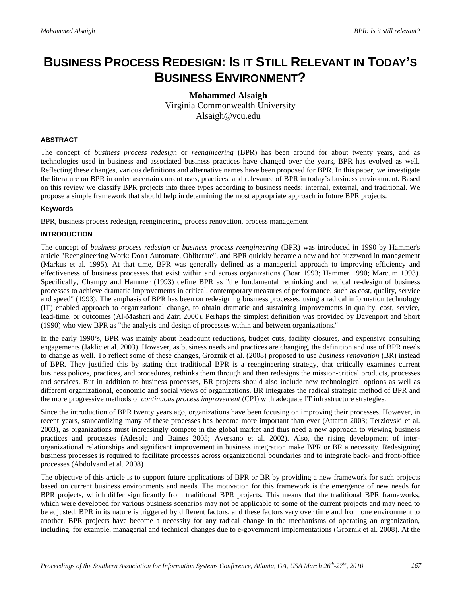## **BUSINESS PROCESS REDESIGN: IS IT STILL RELEVANT IN TODAY'S BUSINESS ENVIRONMENT?**

#### **Mohammed Alsaigh** Virginia Commonwealth University Alsaigh@vcu.edu

#### **ABSTRACT**

The concept of *business process redesign* or *reengineering* (BPR) has been around for about twenty years, and as technologies used in business and associated business practices have changed over the years, BPR has evolved as well. Reflecting these changes, various definitions and alternative names have been proposed for BPR. In this paper, we investigate the literature on BPR in order ascertain current uses, practices, and relevance of BPR in today's business environment. Based on this review we classify BPR projects into three types according to business needs: internal, external, and traditional. We propose a simple framework that should help in determining the most appropriate approach in future BPR projects.

#### **Keywords**

BPR, business process redesign, reengineering, process renovation, process management

#### **INTRODUCTION**

The concept of *business process redesign* or *business process reengineering* (BPR) was introduced in 1990 by Hammer's article "Reengineering Work: Don't Automate, Obliterate", and BPR quickly became a new and hot buzzword in management (Markus et al. 1995). At that time, BPR was generally defined as a managerial approach to improving efficiency and effectiveness of business processes that exist within and across organizations (Boar 1993; Hammer 1990; Marcum 1993). Specifically, Champy and Hammer (1993) define BPR as "the fundamental rethinking and radical re-design of business processes to achieve dramatic improvements in critical, contemporary measures of performance, such as cost, quality, service and speed" (1993). The emphasis of BPR has been on redesigning business processes, using a radical information technology (IT) enabled approach to organizational change, to obtain dramatic and sustaining improvements in quality, cost, service, lead-time, or outcomes (Al-Mashari and Zairi 2000). Perhaps the simplest definition was provided by Davenport and Short (1990) who view BPR as "the analysis and design of processes within and between organizations."

In the early 1990's, BPR was mainly about headcount reductions, budget cuts, facility closures, and expensive consulting engagements (Jaklic et al. 2003). However, as business needs and practices are changing, the definition and use of BPR needs to change as well. To reflect some of these changes, Groznik et al. (2008) proposed to use *business renovation* (BR) instead of BPR. They justified this by stating that traditional BPR is a reengineering strategy, that critically examines current business polices, practices, and procedures, rethinks them through and then redesigns the mission-critical products, processes and services. But in addition to business processes, BR projects should also include new technological options as well as different organizational, economic and social views of organizations. BR integrates the radical strategic method of BPR and the more progressive methods of *continuous process improvement* (CPI) with adequate IT infrastructure strategies.

Since the introduction of BPR twenty years ago, organizations have been focusing on improving their processes. However, in recent years, standardizing many of these processes has become more important than ever (Attaran 2003; Terziovski et al. 2003), as organizations must increasingly compete in the global market and thus need a new approach to viewing business practices and processes (Adesola and Baines 2005; Aversano et al. 2002). Also, the rising development of interorganizational relationships and significant improvement in business integration make BPR or BR a necessity. Redesigning business processes is required to facilitate processes across organizational boundaries and to integrate back- and front-office processes (Abdolvand et al. 2008)

The objective of this article is to support future applications of BPR or BR by providing a new framework for such projects based on current business environments and needs. The motivation for this framework is the emergence of new needs for BPR projects, which differ significantly from traditional BPR projects. This means that the traditional BPR frameworks, which were developed for various business scenarios may not be applicable to some of the current projects and may need to be adjusted. BPR in its nature is triggered by different factors, and these factors vary over time and from one environment to another. BPR projects have become a necessity for any radical change in the mechanisms of operating an organization, including, for example, managerial and technical changes due to e-government implementations (Groznik et al. 2008). At the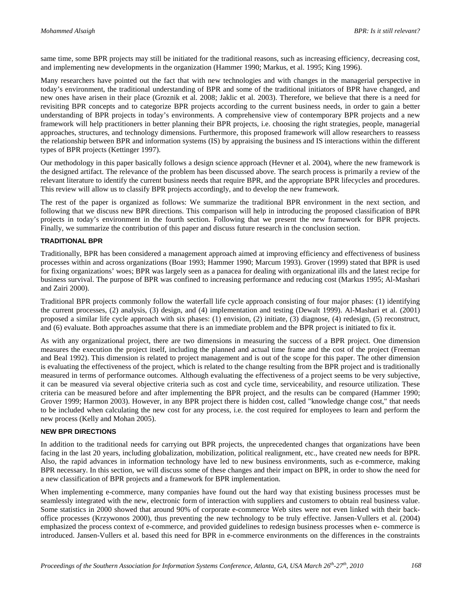same time, some BPR projects may still be initiated for the traditional reasons, such as increasing efficiency, decreasing cost, and implementing new developments in the organization (Hammer 1990; Markus, et al. 1995; King 1996).

Many researchers have pointed out the fact that with new technologies and with changes in the managerial perspective in today's environment, the traditional understanding of BPR and some of the traditional initiators of BPR have changed, and new ones have arisen in their place (Groznik et al. 2008; Jaklic et al. 2003). Therefore, we believe that there is a need for revisiting BPR concepts and to categorize BPR projects according to the current business needs, in order to gain a better understanding of BPR projects in today's environments. A comprehensive view of contemporary BPR projects and a new framework will help practitioners in better planning their BPR projects, i.e. choosing the right strategies, people, managerial approaches, structures, and technology dimensions. Furthermore, this proposed framework will allow researchers to reassess the relationship between BPR and information systems (IS) by appraising the business and IS interactions within the different types of BPR projects (Kettinger 1997).

Our methodology in this paper basically follows a design science approach (Hevner et al. 2004), where the new framework is the designed artifact. The relevance of the problem has been discussed above. The search process is primarily a review of the relevant literature to identify the current business needs that require BPR, and the appropriate BPR lifecycles and procedures. This review will allow us to classify BPR projects accordingly, and to develop the new framework.

The rest of the paper is organized as follows: We summarize the traditional BPR environment in the next section, and following that we discuss new BPR directions. This comparison will help in introducing the proposed classification of BPR projects in today's environment in the fourth section. Following that we present the new framework for BPR projects. Finally, we summarize the contribution of this paper and discuss future research in the conclusion section.

#### **TRADITIONAL BPR**

Traditionally, BPR has been considered a management approach aimed at improving efficiency and effectiveness of business processes within and across organizations (Boar 1993; Hammer 1990; Marcum 1993). Grover (1999) stated that BPR is used for fixing organizations' woes; BPR was largely seen as a panacea for dealing with organizational ills and the latest recipe for business survival. The purpose of BPR was confined to increasing performance and reducing cost (Markus 1995; Al-Mashari and Zairi 2000).

Traditional BPR projects commonly follow the waterfall life cycle approach consisting of four major phases: (1) identifying the current processes, (2) analysis, (3) design, and (4) implementation and testing (Dewalt 1999). Al-Mashari et al. (2001) proposed a similar life cycle approach with six phases: (1) envision, (2) initiate, (3) diagnose, (4) redesign, (5) reconstruct, and (6) evaluate. Both approaches assume that there is an immediate problem and the BPR project is initiated to fix it.

As with any organizational project, there are two dimensions in measuring the success of a BPR project. One dimension measures the execution the project itself, including the planned and actual time frame and the cost of the project (Freeman and Beal 1992). This dimension is related to project management and is out of the scope for this paper. The other dimension is evaluating the effectiveness of the project, which is related to the change resulting from the BPR project and is traditionally measured in terms of performance outcomes. Although evaluating the effectiveness of a project seems to be very subjective, it can be measured via several objective criteria such as cost and cycle time, serviceability, and resource utilization. These criteria can be measured before and after implementing the BPR project, and the results can be compared (Hammer 1990; Grover 1999; Harmon 2003). However, in any BPR project there is hidden cost, called "knowledge change cost," that needs to be included when calculating the new cost for any process, i.e. the cost required for employees to learn and perform the new process (Kelly and Mohan 2005).

#### **NEW BPR DIRECTIONS**

In addition to the traditional needs for carrying out BPR projects, the unprecedented changes that organizations have been facing in the last 20 years, including globalization, mobilization, political realignment, etc., have created new needs for BPR. Also, the rapid advances in information technology have led to new business environments, such as e-commerce, making BPR necessary. In this section, we will discuss some of these changes and their impact on BPR, in order to show the need for a new classification of BPR projects and a framework for BPR implementation.

When implementing e-commerce, many companies have found out the hard way that existing business processes must be seamlessly integrated with the new, electronic form of interaction with suppliers and customers to obtain real business value. Some statistics in 2000 showed that around 90% of corporate e-commerce Web sites were not even linked with their backoffice processes (Krzywonos 2000), thus preventing the new technology to be truly effective. Jansen-Vullers et al. (2004) emphasized the process context of e-commerce, and provided guidelines to redesign business processes when e- commerce is introduced. Jansen-Vullers et al. based this need for BPR in e-commerce environments on the differences in the constraints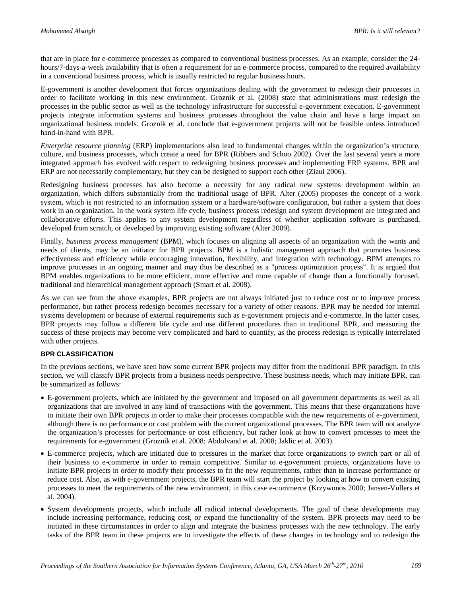that are in place for e-commerce processes as compared to conventional business processes. As an example, consider the 24 hours/7-days-a-week availability that is often a requirement for an e-commerce process, compared to the required availability in a conventional business process, which is usually restricted to regular business hours.

E-government is another development that forces organizations dealing with the government to redesign their processes in order to facilitate working in this new environment. Groznik et al. (2008) state that administrations must redesign the processes in the public sector as well as the technology infrastructure for successful e-government execution. E-government projects integrate information systems and business processes throughout the value chain and have a large impact on organizational business models. Groznik et al. conclude that e-government projects will not be feasible unless introduced hand-in-hand with BPR.

*Enterprise resource planning* (ERP) implementations also lead to fundamental changes within the organization's structure, culture, and business processes, which create a need for BPR (Ribbers and Schoo 2002). Over the last several years a more integrated approach has evolved with respect to redesigning business processes and implementing ERP systems. BPR and ERP are not necessarily complementary, but they can be designed to support each other (Ziaul 2006).

Redesigning business processes has also become a necessity for any radical new systems development within an organization, which differs substantially from the traditional usage of BPR. Alter (2005) proposes the concept of a work system, which is not restricted to an information system or a hardware/software configuration, but rather a system that does work in an organization. In the work system life cycle, business process redesign and system development are integrated and collaborative efforts. This applies to any system development regardless of whether application software is purchased, developed from scratch, or developed by improving existing software (Alter 2009).

Finally, *business process management* (BPM), which focuses on aligning all aspects of an organization with the wants and needs of clients, may be an initiator for BPR projects. BPM is a [holistic management](http://en.wikipedia.org/wiki/Holism) approach that promotes business effectiveness and efficiency while encouraging innovation, flexibility, and integration with technology. BPM attempts to improve processes in an ongoing manner and may thus be described as a "process optimization process". It is argued that BPM enables organizations to be more efficient, more effective and more capable of change than a functionally focused, traditional and hierarchical management approach (Smart et al. 2008).

As we can see from the above examples, BPR projects are not always initiated just to reduce cost or to improve process performance, but rather process redesign becomes necessary for a variety of other reasons. BPR may be needed for internal systems development or because of external requirements such as e-government projects and e-commerce. In the latter cases, BPR projects may follow a different life cycle and use different procedures than in traditional BPR, and measuring the success of these projects may become very complicated and hard to quantify, as the process redesign is typically interrelated with other projects.

#### **BPR CLASSIFICATION**

In the previous sections, we have seen how some current BPR projects may differ from the traditional BPR paradigm. In this section, we will classify BPR projects from a business needs perspective. These business needs, which may initiate BPR, can be summarized as follows:

- E-government projects, which are initiated by the government and imposed on all government departments as well as all organizations that are involved in any kind of transactions with the government. This means that these organizations have to initiate their own BPR projects in order to make their processes compatible with the new requirements of e-government, although there is no performance or cost problem with the current organizational processes. The BPR team will not analyze the organization's processes for performance or cost efficiency, but rather look at how to convert processes to meet the requirements for e-government (Groznik et al. 2008; Abdolvand et al. 2008; Jaklic et al. 2003).
- E-commerce projects, which are initiated due to pressures in the market that force organizations to switch part or all of their business to e-commerce in order to remain competitive. Similar to e-government projects, organizations have to initiate BPR projects in order to modify their processes to fit the new requirements, rather than to increase performance or reduce cost. Also, as with e-government projects, the BPR team will start the project by looking at how to convert existing processes to meet the requirements of the new environment, in this case e-commerce (Krzywonos 2000; Jansen-Vullers et al. 2004).
- System developments projects, which include all radical internal developments. The goal of these developments may include increasing performance, reducing cost, or expand the functionality of the system. BPR projects may need to be initiated in these circumstances in order to align and integrate the business processes with the new technology. The early tasks of the BPR team in these projects are to investigate the effects of these changes in technology and to redesign the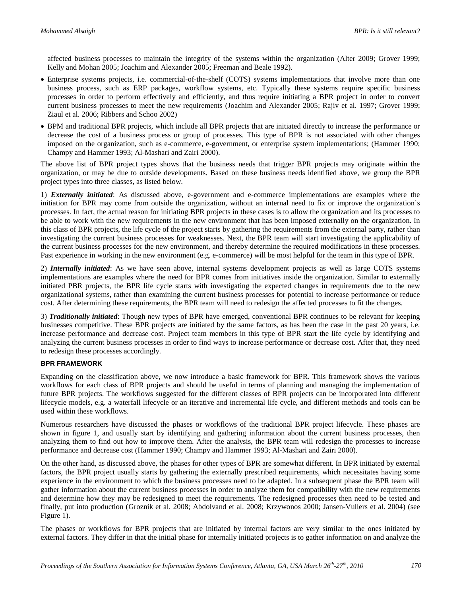affected business processes to maintain the integrity of the systems within the organization (Alter 2009; Grover 1999; Kelly and Mohan 2005; Joachim and Alexander 2005; Freeman and Beale 1992).

- Enterprise systems projects, i.e. commercial-of-the-shelf (COTS) systems implementations that involve more than one business process, such as ERP packages, workflow systems, etc. Typically these systems require specific business processes in order to perform effectively and efficiently, and thus require initiating a BPR project in order to convert current business processes to meet the new requirements (Joachim and Alexander 2005; Rajiv et al. 1997; Grover 1999; Ziaul et al. 2006; Ribbers and Schoo 2002)
- BPM and traditional BPR projects, which include all BPR projects that are initiated directly to increase the performance or decrease the cost of a business process or group of processes. This type of BPR is not associated with other changes imposed on the organization, such as e-commerce, e-government, or enterprise system implementations; (Hammer 1990; Champy and Hammer 1993; Al-Mashari and Zairi 2000).

The above list of BPR project types shows that the business needs that trigger BPR projects may originate within the organization, or may be due to outside developments. Based on these business needs identified above, we group the BPR project types into three classes, as listed below.

1) *Externally initiated*: As discussed above, e-government and e-commerce implementations are examples where the initiation for BPR may come from outside the organization, without an internal need to fix or improve the organization's processes. In fact, the actual reason for initiating BPR projects in these cases is to allow the organization and its processes to be able to work with the new requirements in the new environment that has been imposed externally on the organization. In this class of BPR projects, the life cycle of the project starts by gathering the requirements from the external party, rather than investigating the current business processes for weaknesses. Next, the BPR team will start investigating the applicability of the current business processes for the new environment, and thereby determine the required modifications in these processes. Past experience in working in the new environment (e.g. e-commerce) will be most helpful for the team in this type of BPR.

2) *Internally initiated*: As we have seen above, internal systems development projects as well as large COTS systems implementations are examples where the need for BPR comes from initiatives inside the organization. Similar to externally initiated PBR projects, the BPR life cycle starts with investigating the expected changes in requirements due to the new organizational systems, rather than examining the current business processes for potential to increase performance or reduce cost. After determining these requirements, the BPR team will need to redesign the affected processes to fit the changes.

3) *Traditionally initiated*: Though new types of BPR have emerged, conventional BPR continues to be relevant for keeping businesses competitive. These BPR projects are initiated by the same factors, as has been the case in the past 20 years, i.e. increase performance and decrease cost. Project team members in this type of BPR start the life cycle by identifying and analyzing the current business processes in order to find ways to increase performance or decrease cost. After that, they need to redesign these processes accordingly.

#### **BPR FRAMEWORK**

Expanding on the classification above, we now introduce a basic framework for BPR. This framework shows the various workflows for each class of BPR projects and should be useful in terms of planning and managing the implementation of future BPR projects. The workflows suggested for the different classes of BPR projects can be incorporated into different lifecycle models, e.g. a waterfall lifecycle or an iterative and incremental life cycle, and different methods and tools can be used within these workflows.

Numerous researchers have discussed the phases or workflows of the traditional BPR project lifecycle. These phases are shown in figure 1, and usually start by identifying and gathering information about the current business processes, then analyzing them to find out how to improve them. After the analysis, the BPR team will redesign the processes to increase performance and decrease cost (Hammer 1990; Champy and Hammer 1993; Al-Mashari and Zairi 2000).

On the other hand, as discussed above, the phases for other types of BPR are somewhat different. In BPR initiated by external factors, the BPR project usually starts by gathering the externally prescribed requirements, which necessitates having some experience in the environment to which the business processes need to be adapted. In a subsequent phase the BPR team will gather information about the current business processes in order to analyze them for compatibility with the new requirements and determine how they may be redesigned to meet the requirements. The redesigned processes then need to be tested and finally, put into production (Groznik et al. 2008; Abdolvand et al. 2008; Krzywonos 2000; Jansen-Vullers et al. 2004) (see Figure 1).

The phases or workflows for BPR projects that are initiated by internal factors are very similar to the ones initiated by external factors. They differ in that the initial phase for internally initiated projects is to gather information on and analyze the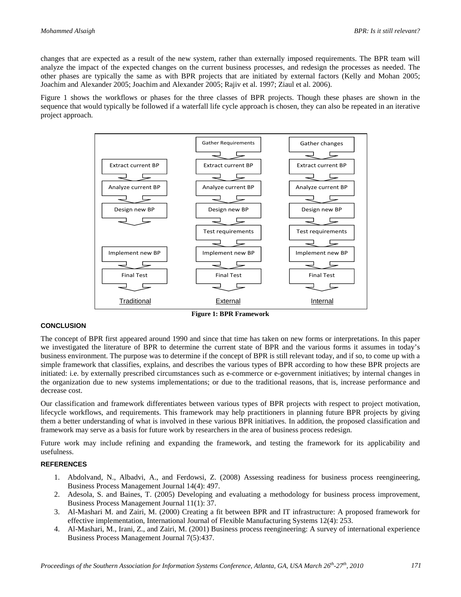changes that are expected as a result of the new system, rather than externally imposed requirements. The BPR team will analyze the impact of the expected changes on the current business processes, and redesign the processes as needed. The other phases are typically the same as with BPR projects that are initiated by external factors (Kelly and Mohan 2005; Joachim and Alexander 2005; Joachim and Alexander 2005; Rajiv et al. 1997; Ziaul et al. 2006).

Figure 1 shows the workflows or phases for the three classes of BPR projects. Though these phases are shown in the sequence that would typically be followed if a waterfall life cycle approach is chosen, they can also be repeated in an iterative project approach.



#### **Figure 1: BPR Framework**

#### **CONCLUSION**

The concept of BPR first appeared around 1990 and since that time has taken on new forms or interpretations. In this paper we investigated the literature of BPR to determine the current state of BPR and the various forms it assumes in today's business environment. The purpose was to determine if the concept of BPR is still relevant today, and if so, to come up with a simple framework that classifies, explains, and describes the various types of BPR according to how these BPR projects are initiated: i.e. by externally prescribed circumstances such as e-commerce or e-government initiatives; by internal changes in the organization due to new systems implementations; or due to the traditional reasons, that is, increase performance and decrease cost.

Our classification and framework differentiates between various types of BPR projects with respect to project motivation, lifecycle workflows, and requirements. This framework may help practitioners in planning future BPR projects by giving them a better understanding of what is involved in these various BPR initiatives. In addition, the proposed classification and framework may serve as a basis for future work by researchers in the area of business process redesign.

Future work may include refining and expanding the framework, and testing the framework for its applicability and usefulness.

#### **REFERENCES**

- 1. Abdolvand, N., Albadvi, A., and Ferdowsi, Z. (2008) Assessing readiness for business process reengineering, Business Process Management Journal 14(4): 497.
- 2. Adesola, S. and Baines, T. (2005) Developing and evaluating a methodology for business process improvement, Business Process Management Journal 11(1): 37.
- 3. Al-Mashari M. and Zairi, M. (2000) Creating a fit between BPR and IT infrastructure: A proposed framework for effective implementation, International Journal of Flexible Manufacturing Systems 12(4): 253.
- 4. Al-Mashari, M., Irani, Z., and Zairi, M. (2001) Business process reengineering: A survey of international experience Business Process Management Journal 7(5):437.